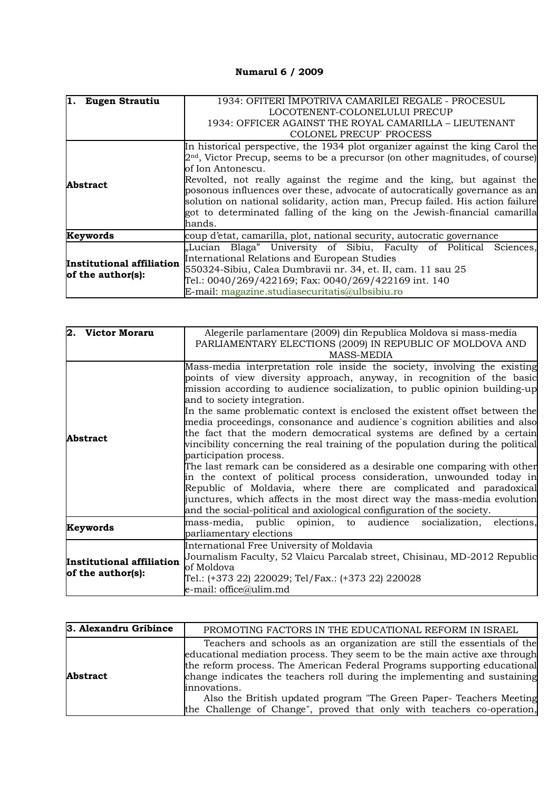## **Numarul 6 / 2009**

| 1.<br><b>Eugen Strautiu</b>                    | 1934: OFITERI IMPOTRIVA CAMARILEI REGALE - PROCESUL                             |  |  |  |  |  |  |  |
|------------------------------------------------|---------------------------------------------------------------------------------|--|--|--|--|--|--|--|
|                                                | LOCOTENENT-COLONELULUI PRECUP                                                   |  |  |  |  |  |  |  |
|                                                | 1934: OFFICER AGAINST THE ROYAL CAMARILLA – LIEUTENANT                          |  |  |  |  |  |  |  |
|                                                | COLONEL PRECUP PROCESS                                                          |  |  |  |  |  |  |  |
|                                                | In historical perspective, the 1934 plot organizer against the king Carol the   |  |  |  |  |  |  |  |
|                                                | $2nd$ , Victor Precup, seems to be a precursor (on other magnitudes, of course) |  |  |  |  |  |  |  |
|                                                | of Ion Antonescu.                                                               |  |  |  |  |  |  |  |
| <b>Abstract</b>                                | Revolted, not really against the regime and the king, but against the           |  |  |  |  |  |  |  |
|                                                | posonous influences over these, advocate of autocratically governance as an     |  |  |  |  |  |  |  |
|                                                | solution on national solidarity, action man, Precup failed. His action failure  |  |  |  |  |  |  |  |
|                                                | got to determinated falling of the king on the Jewish-financial camarilla       |  |  |  |  |  |  |  |
|                                                | hands.                                                                          |  |  |  |  |  |  |  |
| Keywords                                       | coup d'etat, camarilla, plot, national security, autocratic governance          |  |  |  |  |  |  |  |
| Institutional affiliation<br>of the author(s): | "Lucian Blaga" University of Sibiu, Faculty of Political<br>Sciences.           |  |  |  |  |  |  |  |
|                                                | International Relations and European Studies                                    |  |  |  |  |  |  |  |
|                                                | 550324-Sibiu, Calea Dumbravii nr. 34, et. II, cam. 11 sau 25                    |  |  |  |  |  |  |  |
|                                                | Tel.: 0040/269/422169; Fax: 0040/269/422169 int. 140                            |  |  |  |  |  |  |  |
|                                                | E-mail: magazine.studiasecuritatis@ulbsibiu.ro                                  |  |  |  |  |  |  |  |

| 2. Victor Moraru                               | Alegerile parlamentare (2009) din Republica Moldova si mass-media                                                                                                                                                                                                                                                                                                                                                                                                                                                                                                                                                                                                                                                                                                                                                                                                                                                                                                                                    |  |  |  |  |  |  |  |
|------------------------------------------------|------------------------------------------------------------------------------------------------------------------------------------------------------------------------------------------------------------------------------------------------------------------------------------------------------------------------------------------------------------------------------------------------------------------------------------------------------------------------------------------------------------------------------------------------------------------------------------------------------------------------------------------------------------------------------------------------------------------------------------------------------------------------------------------------------------------------------------------------------------------------------------------------------------------------------------------------------------------------------------------------------|--|--|--|--|--|--|--|
|                                                | PARLIAMENTARY ELECTIONS (2009) IN REPUBLIC OF MOLDOVA AND                                                                                                                                                                                                                                                                                                                                                                                                                                                                                                                                                                                                                                                                                                                                                                                                                                                                                                                                            |  |  |  |  |  |  |  |
|                                                | <b>MASS-MEDIA</b>                                                                                                                                                                                                                                                                                                                                                                                                                                                                                                                                                                                                                                                                                                                                                                                                                                                                                                                                                                                    |  |  |  |  |  |  |  |
| <b>Abstract</b>                                | Mass-media interpretation role inside the society, involving the existing<br>points of view diversity approach, anyway, in recognition of the basic<br>mission according to audience socialization, to public opinion building-up<br>and to society integration.<br>In the same problematic context is enclosed the existent offset between the<br>media proceedings, consonance and audience's cognition abilities and also<br>the fact that the modern democratical systems are defined by a certain<br>vincibility concerning the real training of the population during the political<br>participation process.<br>The last remark can be considered as a desirable one comparing with other<br>in the context of political process consideration, unwounded today in<br>Republic of Moldavia, where there are complicated and paradoxical<br>junctures, which affects in the most direct way the mass-media evolution<br>and the social-political and axiological configuration of the society. |  |  |  |  |  |  |  |
| Keywords                                       | mass-media, public opinion, to audience socialization, elections,<br>parliamentary elections                                                                                                                                                                                                                                                                                                                                                                                                                                                                                                                                                                                                                                                                                                                                                                                                                                                                                                         |  |  |  |  |  |  |  |
| Institutional affiliation<br>of the author(s): | International Free University of Moldavia<br>Journalism Faculty, 52 Vlaicu Parcalab street, Chisinau, MD-2012 Republic<br>of Moldova<br>Tel.: (+373 22) 220029; Tel/Fax.: (+373 22) 220028<br>e-mail: office@ulim.md                                                                                                                                                                                                                                                                                                                                                                                                                                                                                                                                                                                                                                                                                                                                                                                 |  |  |  |  |  |  |  |

| 3. Alexandru Gribince | PROMOTING FACTORS IN THE EDUCATIONAL REFORM IN ISRAEL                                                                                                                                                                                                                                                                                                                                                                                                                           |
|-----------------------|---------------------------------------------------------------------------------------------------------------------------------------------------------------------------------------------------------------------------------------------------------------------------------------------------------------------------------------------------------------------------------------------------------------------------------------------------------------------------------|
| <b>Abstract</b>       | Teachers and schools as an organization are still the essentials of the<br>educational mediation process. They seem to be the main active axe through<br>the reform process. The American Federal Programs supporting educational<br>change indicates the teachers roll during the implementing and sustaining<br>innovations.<br>Also the British updated program "The Green Paper- Teachers Meeting<br>the Challenge of Change", proved that only with teachers co-operation, |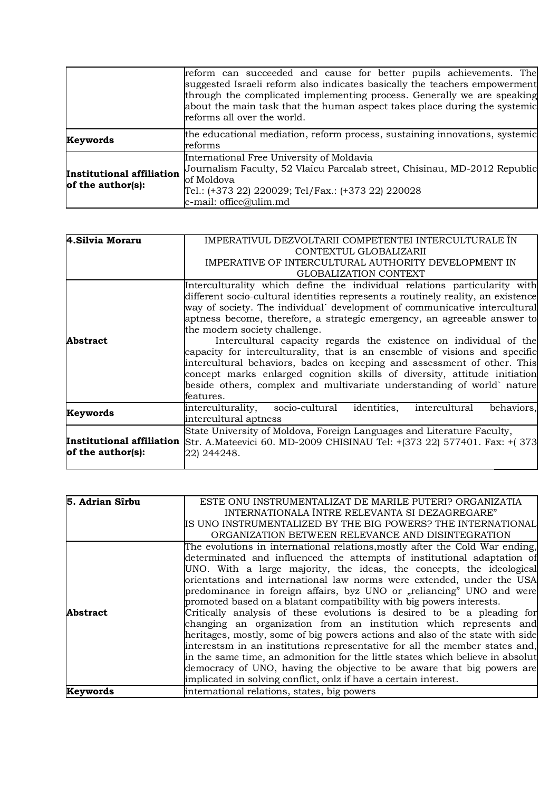|                                                | reform can succeeded and cause for better pupils achievements. The<br>suggested Israeli reform also indicates basically the teachers empowerment<br>through the complicated implementing process. Generally we are speaking<br>about the main task that the human aspect takes place during the systemic<br>reforms all over the world. |
|------------------------------------------------|-----------------------------------------------------------------------------------------------------------------------------------------------------------------------------------------------------------------------------------------------------------------------------------------------------------------------------------------|
| Keywords                                       | the educational mediation, reform process, sustaining innovations, systemic<br>reforms                                                                                                                                                                                                                                                  |
| Institutional affiliation<br>of the author(s): | International Free University of Moldavia<br>Journalism Faculty, 52 Vlaicu Parcalab street, Chisinau, MD-2012 Republic<br>of Moldova<br>Tel.: (+373 22) 220029; Tel/Fax.: (+373 22) 220028<br>e-mail: office@ulim.md                                                                                                                    |

| 4. Silvia Moraru          | IMPERATIVUL DEZVOLTARII COMPETENTEI INTERCULTURALE IN<br>CONTEXTUL GLOBALIZARII  |  |  |  |  |  |
|---------------------------|----------------------------------------------------------------------------------|--|--|--|--|--|
|                           |                                                                                  |  |  |  |  |  |
|                           | IMPERATIVE OF INTERCULTURAL AUTHORITY DEVELOPMENT IN                             |  |  |  |  |  |
|                           | <b>GLOBALIZATION CONTEXT</b>                                                     |  |  |  |  |  |
|                           | Interculturality which define the individual relations particularity with        |  |  |  |  |  |
|                           | different socio-cultural identities represents a routinely reality, an existence |  |  |  |  |  |
|                           | way of society. The individual` development of communicative intercultural       |  |  |  |  |  |
|                           | aptness become, therefore, a strategic emergency, an agreeable answer to         |  |  |  |  |  |
|                           | the modern society challenge.                                                    |  |  |  |  |  |
| Abstract                  | Intercultural capacity regards the existence on individual of the                |  |  |  |  |  |
|                           | capacity for interculturality, that is an ensemble of visions and specific       |  |  |  |  |  |
|                           | intercultural behaviors, bades on keeping and assessment of other. This          |  |  |  |  |  |
|                           | concept marks enlarged cognition skills of diversity, attitude initiation        |  |  |  |  |  |
|                           | beside others, complex and multivariate understanding of world nature            |  |  |  |  |  |
|                           | features.                                                                        |  |  |  |  |  |
|                           |                                                                                  |  |  |  |  |  |
| Keywords                  | interculturality, socio-cultural identities,<br>intercultural<br>behaviors,      |  |  |  |  |  |
|                           | intercultural aptness                                                            |  |  |  |  |  |
|                           | State University of Moldova, Foreign Languages and Literature Faculty,           |  |  |  |  |  |
| Institutional affiliation | Str. A.Mateevici 60. MD-2009 CHISINAU Tel: +(373 22) 577401. Fax: +(373)         |  |  |  |  |  |
| of the author(s):         | 22) 244248.                                                                      |  |  |  |  |  |
|                           |                                                                                  |  |  |  |  |  |

| 5. Adrian Sîrbu | ESTE ONU INSTRUMENTALIZAT DE MARILE PUTERI? ORGANIZATIA                        |
|-----------------|--------------------------------------------------------------------------------|
|                 | INTERNATIONALA ÎNTRE RELEVANTA SI DEZAGREGARE"                                 |
|                 | IS UNO INSTRUMENTALIZED BY THE BIG POWERS? THE INTERNATIONAL                   |
|                 | ORGANIZATION BETWEEN RELEVANCE AND DISINTEGRATION                              |
|                 | The evolutions in international relations, mostly after the Cold War ending,   |
|                 | determinated and influenced the attempts of institutional adaptation of        |
|                 | UNO. With a large majority, the ideas, the concepts, the ideological           |
|                 | orientations and international law norms were extended, under the USA          |
|                 | predominance in foreign affairs, byz UNO or "reliancing" UNO and were          |
|                 | promoted based on a blatant compatibility with big powers interests.           |
| <b>Abstract</b> | Critically analysis of these evolutions is desired to be a pleading for        |
|                 | changing an organization from an institution which represents and              |
|                 | heritages, mostly, some of big powers actions and also of the state with side  |
|                 | interestsm in an institutions representative for all the member states and,    |
|                 | in the same time, an admonition for the little states which believe in absolut |
|                 | democracy of UNO, having the objective to be aware that big powers are         |
|                 | implicated in solving conflict, onlz if have a certain interest.               |
| Keywords        | international relations, states, big powers                                    |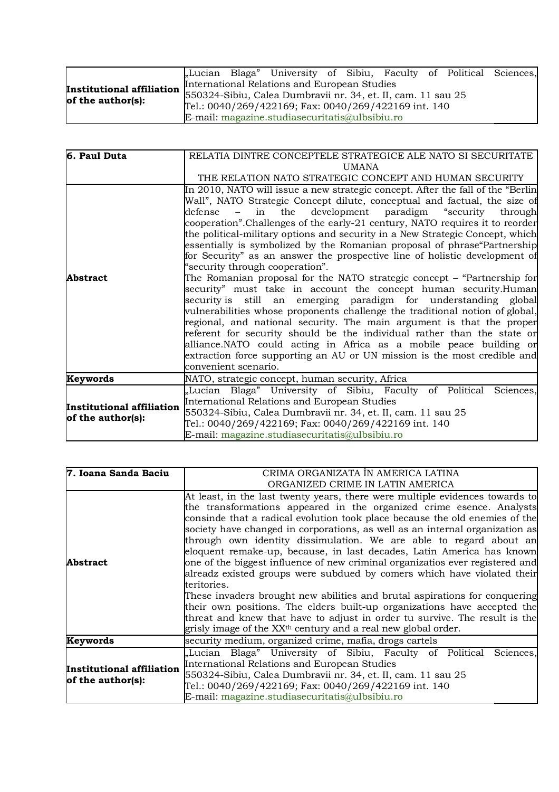|  |                                              |  | "Lucian Blaga" University of Sibiu, Faculty of Political Sciences, |  |  |  |  |  |  |
|--|----------------------------------------------|--|--------------------------------------------------------------------|--|--|--|--|--|--|
|  | International Relations and European Studies |  |                                                                    |  |  |  |  |  |  |
|  |                                              |  |                                                                    |  |  |  |  |  |  |
|  |                                              |  | Tel.: 0040/269/422169; Fax: 0040/269/422169 int. 140               |  |  |  |  |  |  |
|  |                                              |  | E-mail: magazine.studiasecuritatis@ulbsibiu.ro                     |  |  |  |  |  |  |

| 6. Paul Duta                                   | RELATIA DINTRE CONCEPTELE STRATEGICE ALE NATO SI SECURITATE                     |  |  |  |  |  |  |  |
|------------------------------------------------|---------------------------------------------------------------------------------|--|--|--|--|--|--|--|
|                                                | <b>UMANA</b>                                                                    |  |  |  |  |  |  |  |
|                                                |                                                                                 |  |  |  |  |  |  |  |
|                                                | THE RELATION NATO STRATEGIC CONCEPT AND HUMAN SECURITY                          |  |  |  |  |  |  |  |
|                                                | In 2010, NATO will issue a new strategic concept. After the fall of the "Berlin |  |  |  |  |  |  |  |
|                                                | Wall", NATO Strategic Concept dilute, conceptual and factual, the size of       |  |  |  |  |  |  |  |
|                                                | the<br>development paradigm "security<br>defense<br>in<br>through               |  |  |  |  |  |  |  |
|                                                | cooperation". Challenges of the early-21 century, NATO requires it to reorder   |  |  |  |  |  |  |  |
|                                                | the political-military options and security in a New Strategic Concept, which   |  |  |  |  |  |  |  |
|                                                | essentially is symbolized by the Romanian proposal of phrase Partnership        |  |  |  |  |  |  |  |
|                                                | for Security" as an answer the prospective line of holistic development of      |  |  |  |  |  |  |  |
|                                                | "security through cooperation".                                                 |  |  |  |  |  |  |  |
| <b>Abstract</b>                                | The Romanian proposal for the NATO strategic concept – "Partnership for         |  |  |  |  |  |  |  |
|                                                | security" must take in account the concept human security.Human                 |  |  |  |  |  |  |  |
|                                                | security is still an emerging paradigm for understanding global                 |  |  |  |  |  |  |  |
|                                                | vulnerabilities whose proponents challenge the traditional notion of global,    |  |  |  |  |  |  |  |
|                                                | regional, and national security. The main argument is that the proper           |  |  |  |  |  |  |  |
|                                                | referent for security should be the individual rather than the state or         |  |  |  |  |  |  |  |
|                                                | alliance.NATO could acting in Africa as a mobile peace building or              |  |  |  |  |  |  |  |
|                                                | extraction force supporting an AU or UN mission is the most credible and        |  |  |  |  |  |  |  |
|                                                |                                                                                 |  |  |  |  |  |  |  |
|                                                | convenient scenario.                                                            |  |  |  |  |  |  |  |
| Keywords                                       | NATO, strategic concept, human security, Africa                                 |  |  |  |  |  |  |  |
| Institutional affiliation<br>of the author(s): | "Lucian Blaga" University of Sibiu, Faculty of Political<br>Sciences,           |  |  |  |  |  |  |  |
|                                                | International Relations and European Studies                                    |  |  |  |  |  |  |  |
|                                                | 550324-Sibiu, Calea Dumbravii nr. 34, et. II, cam. 11 sau 25                    |  |  |  |  |  |  |  |
|                                                | Tel.: 0040/269/422169; Fax: 0040/269/422169 int. 140                            |  |  |  |  |  |  |  |
|                                                | E-mail: magazine.studiasecuritatis@ulbsibiu.ro                                  |  |  |  |  |  |  |  |

| 7. Ioana Sanda Baciu                                  | CRIMA ORGANIZATA ÎN AMERICA LATINA                                                                                                                                                                                                                                                                                                                                                                                                                                                                                                                                                                                                                                                                                                                                                                                                                                                                                                                                 |  |  |  |  |  |
|-------------------------------------------------------|--------------------------------------------------------------------------------------------------------------------------------------------------------------------------------------------------------------------------------------------------------------------------------------------------------------------------------------------------------------------------------------------------------------------------------------------------------------------------------------------------------------------------------------------------------------------------------------------------------------------------------------------------------------------------------------------------------------------------------------------------------------------------------------------------------------------------------------------------------------------------------------------------------------------------------------------------------------------|--|--|--|--|--|
|                                                       | ORGANIZED CRIME IN LATIN AMERICA                                                                                                                                                                                                                                                                                                                                                                                                                                                                                                                                                                                                                                                                                                                                                                                                                                                                                                                                   |  |  |  |  |  |
| <b>Abstract</b>                                       | At least, in the last twenty years, there were multiple evidences towards to<br>the transformations appeared in the organized crime esence. Analysts<br>consinde that a radical evolution took place because the old enemies of the<br>society have changed in corporations, as well as an internal organization as<br>through own identity dissimulation. We are able to regard about an<br>eloquent remake-up, because, in last decades, Latin America has known<br>one of the biggest influence of new criminal organizatios ever registered and<br>alreadz existed groups were subdued by comers which have violated their<br>teritories.<br>These invaders brought new abilities and brutal aspirations for conquering<br>their own positions. The elders built-up organizations have accepted the<br>threat and knew that have to adjust in order tu survive. The result is the<br>grisly image of the XX <sup>th</sup> century and a real new global order. |  |  |  |  |  |
| Keywords                                              | security medium, organized crime, mafia, drogs cartels                                                                                                                                                                                                                                                                                                                                                                                                                                                                                                                                                                                                                                                                                                                                                                                                                                                                                                             |  |  |  |  |  |
| <b>Institutional affiliation</b><br>of the author(s): | "Lucian Blaga" University of Sibiu, Faculty of Political<br>Sciences,<br>International Relations and European Studies<br>550324-Sibiu, Calea Dumbravii nr. 34, et. II, cam. 11 sau 25<br>Tel.: 0040/269/422169; Fax: 0040/269/422169 int. 140<br>E-mail: magazine.studiasecuritatis@ulbsibiu.ro                                                                                                                                                                                                                                                                                                                                                                                                                                                                                                                                                                                                                                                                    |  |  |  |  |  |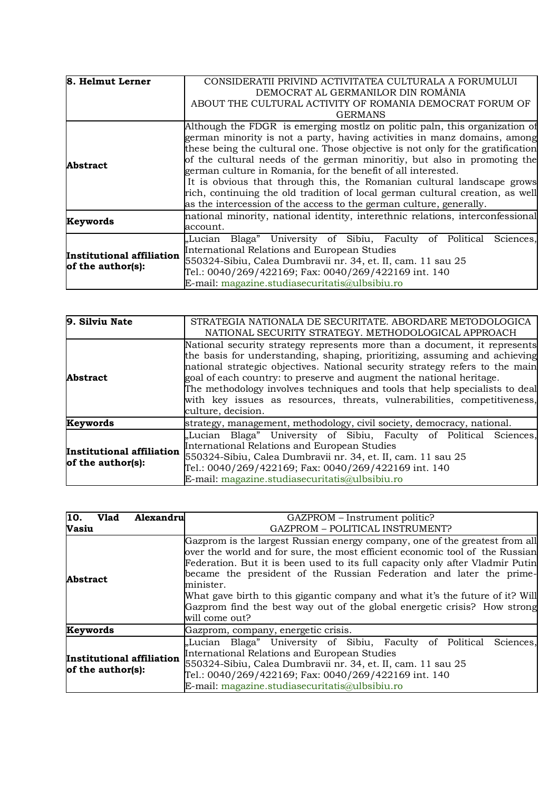| 8. Helmut Lerner                               | CONSIDERATII PRIVIND ACTIVITATEA CULTURALA A FORUMULUI                          |  |  |  |  |  |  |
|------------------------------------------------|---------------------------------------------------------------------------------|--|--|--|--|--|--|
|                                                | DEMOCRAT AL GERMANILOR DIN ROMÂNIA                                              |  |  |  |  |  |  |
|                                                | ABOUT THE CULTURAL ACTIVITY OF ROMANIA DEMOCRAT FORUM OF                        |  |  |  |  |  |  |
|                                                | <b>GERMANS</b>                                                                  |  |  |  |  |  |  |
|                                                | Although the FDGR is emerging mostlz on politic paln, this organization of      |  |  |  |  |  |  |
|                                                | german minority is not a party, having activities in manz domains, among        |  |  |  |  |  |  |
|                                                | these being the cultural one. Those objective is not only for the gratification |  |  |  |  |  |  |
| Abstract                                       | of the cultural needs of the german minoritiy, but also in promoting the        |  |  |  |  |  |  |
|                                                | german culture in Romania, for the benefit of all interested.                   |  |  |  |  |  |  |
|                                                | It is obvious that through this, the Romanian cultural landscape grows          |  |  |  |  |  |  |
|                                                | rich, continuing the old tradition of local german cultural creation, as well   |  |  |  |  |  |  |
|                                                | as the intercession of the access to the german culture, generally.             |  |  |  |  |  |  |
|                                                | national minority, national identity, interethnic relations, interconfessional  |  |  |  |  |  |  |
| Keywords                                       | account.                                                                        |  |  |  |  |  |  |
|                                                | "Lucian Blaga" University of Sibiu, Faculty of Political<br>Sciences,           |  |  |  |  |  |  |
| Institutional affiliation<br>of the author(s): | International Relations and European Studies                                    |  |  |  |  |  |  |
|                                                | 550324-Sibiu, Calea Dumbravii nr. 34, et. II, cam. 11 sau 25                    |  |  |  |  |  |  |
|                                                | Tel.: 0040/269/422169; Fax: 0040/269/422169 int. 140                            |  |  |  |  |  |  |
|                                                | E-mail: magazine.studiasecuritatis@ulbsibiu.ro                                  |  |  |  |  |  |  |

| 9. Silviu Nate                                 | STRATEGIA NATIONALA DE SECURITATE. ABORDARE METODOLOGICA<br>NATIONAL SECURITY STRATEGY. METHODOLOGICAL APPROACH                                                                                                                                                                                                                                                                                                                                                                                  |  |  |  |  |  |  |
|------------------------------------------------|--------------------------------------------------------------------------------------------------------------------------------------------------------------------------------------------------------------------------------------------------------------------------------------------------------------------------------------------------------------------------------------------------------------------------------------------------------------------------------------------------|--|--|--|--|--|--|
| <b>Abstract</b>                                | National security strategy represents more than a document, it represents<br>the basis for understanding, shaping, prioritizing, assuming and achieving<br>national strategic objectives. National security strategy refers to the main<br>goal of each country: to preserve and augment the national heritage.<br>The methodology involves techniques and tools that help specialists to deal<br>with key issues as resources, threats, vulnerabilities, competitiveness,<br>culture, decision. |  |  |  |  |  |  |
| Keywords                                       | strategy, management, methodology, civil society, democracy, national.                                                                                                                                                                                                                                                                                                                                                                                                                           |  |  |  |  |  |  |
| Institutional affiliation<br>of the author(s): | "Lucian Blaga" University of Sibiu, Faculty of Political Sciences,<br>International Relations and European Studies<br>550324-Sibiu, Calea Dumbravii nr. 34, et. II, cam. 11 sau 25<br>Tel.: 0040/269/422169; Fax: 0040/269/422169 int. 140<br>E-mail: magazine.studiasecuritatis@ulbsibiu.ro                                                                                                                                                                                                     |  |  |  |  |  |  |

| 10.<br><b>Vlad</b>                             | Alexandru | GAZPROM – Instrument politic?                                                                                                                                                                                                                                                                                                                                                                                                                                                                                   |  |  |  |  |  |  |
|------------------------------------------------|-----------|-----------------------------------------------------------------------------------------------------------------------------------------------------------------------------------------------------------------------------------------------------------------------------------------------------------------------------------------------------------------------------------------------------------------------------------------------------------------------------------------------------------------|--|--|--|--|--|--|
| Vasiu                                          |           | GAZPROM - POLITICAL INSTRUMENT?                                                                                                                                                                                                                                                                                                                                                                                                                                                                                 |  |  |  |  |  |  |
| <b>Abstract</b>                                |           | Gazprom is the largest Russian energy company, one of the greatest from all<br>over the world and for sure, the most efficient economic tool of the Russian<br>Federation. But it is been used to its full capacity only after Vladmir Putin<br>became the president of the Russian Federation and later the prime-<br>minister.<br>What gave birth to this gigantic company and what it's the future of it? Will<br>Gazprom find the best way out of the global energetic crisis? How strong<br>will come out? |  |  |  |  |  |  |
| Keywords                                       |           | Gazprom, company, energetic crisis.                                                                                                                                                                                                                                                                                                                                                                                                                                                                             |  |  |  |  |  |  |
| Institutional affiliation<br>of the author(s): |           | "Lucian Blaga" University of Sibiu, Faculty of Political<br>Sciences,<br>International Relations and European Studies<br>550324-Sibiu, Calea Dumbravii nr. 34, et. II, cam. 11 sau 25<br>Tel.: 0040/269/422169; Fax: 0040/269/422169 int. 140<br>E-mail: magazine.studiasecuritatis@ulbsibiu.ro                                                                                                                                                                                                                 |  |  |  |  |  |  |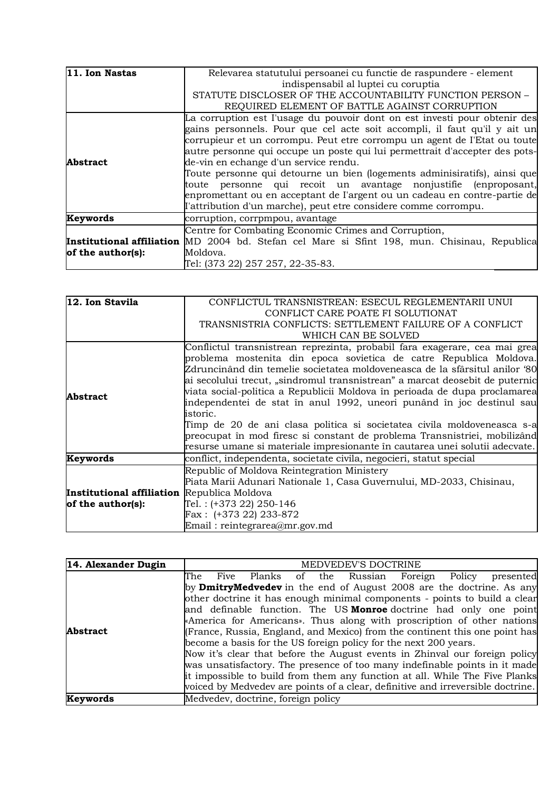| 11. Ion Nastas    | Relevarea statutului persoanei cu functie de raspundere - element                                   |
|-------------------|-----------------------------------------------------------------------------------------------------|
|                   | indispensabil al luptei cu coruptia                                                                 |
|                   | STATUTE DISCLOSER OF THE ACCOUNTABILITY FUNCTION PERSON -                                           |
|                   | REQUIRED ELEMENT OF BATTLE AGAINST CORRUPTION                                                       |
|                   | La corruption est l'usage du pouvoir dont on est investi pour obtenir des                           |
|                   | gains personnels. Pour que cel acte soit accompli, il faut qu'il y ait un                           |
|                   | corrupieur et un corrompu. Peut etre corrompu un agent de l'Etat ou toute                           |
|                   | autre personne qui occupe un poste qui lui permettrait d'accepter des pots-                         |
| <b>Abstract</b>   | de-vin en echange d'un service rendu.                                                               |
|                   | Toute personne qui detourne un bien (logements adminisiratifs), ainsi que                           |
|                   | toute personne qui recoit un avantage nonjustifie (enproposant,                                     |
|                   | enpromettant ou en acceptant de l'argent ou un cadeau en contre-partie de                           |
|                   | l'attribution d'un marche), peut etre considere comme corrompu.                                     |
| Keywords          | corruption, corrpmpou, avantage                                                                     |
|                   | Centre for Combating Economic Crimes and Corruption,                                                |
|                   | <b>Institutional affiliation</b> MD 2004 bd. Stefan cel Mare si Sfint 198, mun. Chisinau, Republica |
| of the author(s): | Moldova.                                                                                            |
|                   | Tel: (373 22) 257 257, 22-35-83.                                                                    |

| 12. Ion Stavila                                                         | CONFLICTUL TRANSNISTREAN: ESECUL REGLEMENTARII UNUI                          |
|-------------------------------------------------------------------------|------------------------------------------------------------------------------|
|                                                                         | CONFLICT CARE POATE FI SOLUTIONAT                                            |
|                                                                         | TRANSNISTRIA CONFLICTS: SETTLEMENT FAILURE OF A CONFLICT                     |
|                                                                         | WHICH CAN BE SOLVED                                                          |
| <b>Abstract</b>                                                         | Conflictul transnistrean reprezinta, probabil fara exagerare, cea mai grea   |
|                                                                         | problema mostenita din epoca sovietica de catre Republica Moldova.           |
|                                                                         | Zdruncinând din temelie societatea moldoveneasca de la sfârsitul anilor '80  |
|                                                                         | ai secolului trecut, "sindromul transnistrean" a marcat deosebit de puternic |
|                                                                         | viata social-politica a Republicii Moldova în perioada de dupa proclamarea   |
|                                                                         | independentei de stat în anul 1992, uneori punând în joc destinul sau        |
|                                                                         | istoric.                                                                     |
|                                                                         | Timp de 20 de ani clasa politica si societatea civila moldoveneasca s-a      |
|                                                                         | preocupat în mod firesc si constant de problema Transnistriei, mobilizând    |
|                                                                         | resurse umane si materiale impresionante în cautarea unei solutii adecvate.  |
| Keywords                                                                | conflict, independenta, societate civila, negocieri, statut special          |
| <b>Institutional affiliation</b> Republica Moldova<br>of the author(s): | Republic of Moldova Reintegration Ministery                                  |
|                                                                         | Piata Marii Adunari Nationale 1, Casa Guvernului, MD-2033, Chisinau,         |
|                                                                         |                                                                              |
|                                                                         | Tel.: (+373 22) 250-146                                                      |
|                                                                         | Fax: (+373 22) 233-872                                                       |
|                                                                         | Email: reintegrarea@mr.gov.md                                                |

| 14. Alexander Dugin | MEDVEDEV'S DOCTRINE                                                             |
|---------------------|---------------------------------------------------------------------------------|
|                     | presented<br>The<br>Five Planks of the Russian Foreign<br>Policy                |
|                     | by <b>DmitryMedvedev</b> in the end of August 2008 are the doctrine. As any     |
|                     | other doctrine it has enough minimal components - points to build a clear       |
|                     | and definable function. The US <b>Monroe</b> doctrine had only one point        |
|                     | «America for Americans». Thus along with proscription of other nations          |
| <b>Abstract</b>     | (France, Russia, England, and Mexico) from the continent this one point has     |
|                     | become a basis for the US foreign policy for the next 200 years.                |
|                     | Now it's clear that before the August events in Zhinval our foreign policy      |
|                     | was unsatisfactory. The presence of too many indefinable points in it made      |
|                     | it impossible to build from them any function at all. While The Five Planks     |
|                     | voiced by Medvedev are points of a clear, definitive and irreversible doctrine. |
| Keywords            | Medvedev, doctrine, foreign policy                                              |